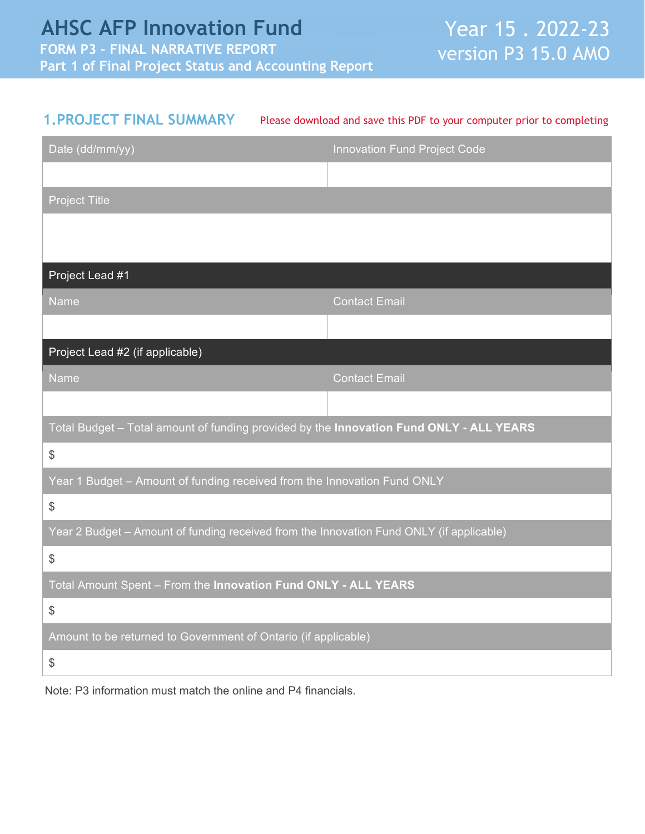| <b>1. PROJECT FINAL SUMMARY</b>                                                          | Please download and save this PDF to your computer prior to completing |  |
|------------------------------------------------------------------------------------------|------------------------------------------------------------------------|--|
| Date (dd/mm/yy)                                                                          | Innovation Fund Project Code                                           |  |
|                                                                                          |                                                                        |  |
| <b>Project Title</b>                                                                     |                                                                        |  |
|                                                                                          |                                                                        |  |
| Project Lead #1                                                                          |                                                                        |  |
| <b>Name</b>                                                                              | <b>Contact Email</b>                                                   |  |
|                                                                                          |                                                                        |  |
| Project Lead #2 (if applicable)                                                          |                                                                        |  |
| Name                                                                                     | <b>Contact Email</b>                                                   |  |
|                                                                                          |                                                                        |  |
| Total Budget - Total amount of funding provided by the Innovation Fund ONLY - ALL YEARS  |                                                                        |  |
| \$                                                                                       |                                                                        |  |
| Year 1 Budget - Amount of funding received from the Innovation Fund ONLY                 |                                                                        |  |
| $\$\$                                                                                    |                                                                        |  |
| Year 2 Budget - Amount of funding received from the Innovation Fund ONLY (if applicable) |                                                                        |  |
| \$                                                                                       |                                                                        |  |
| Total Amount Spent - From the Innovation Fund ONLY - ALL YEARS                           |                                                                        |  |
| $\$\$                                                                                    |                                                                        |  |
| Amount to be returned to Government of Ontario (if applicable)                           |                                                                        |  |
| $\, \, \raisebox{12pt}{$\scriptstyle \circ$}$                                            |                                                                        |  |
|                                                                                          |                                                                        |  |

Note: P3 information must match the online and P4 financials.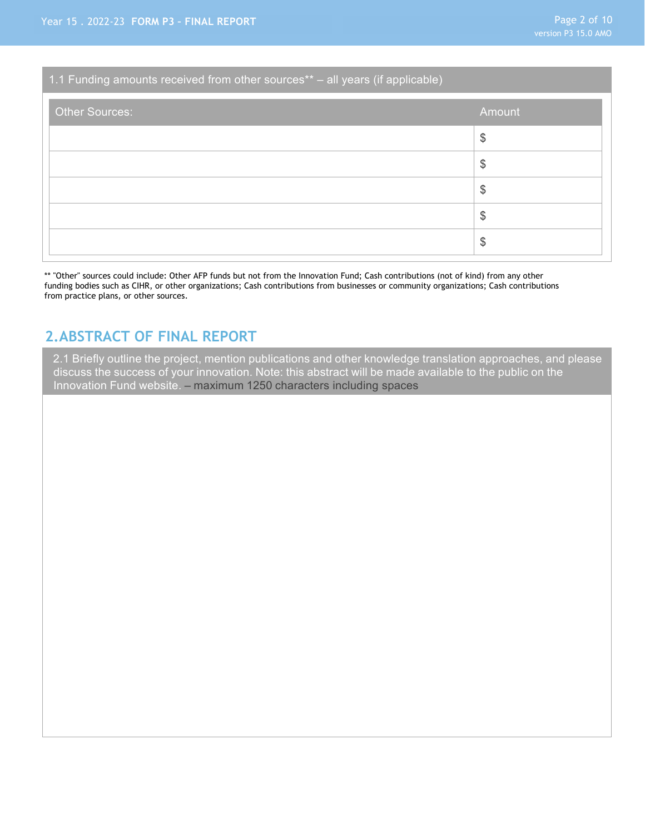## 1.1 Funding amounts received from other sources\*\* – all years (if applicable)

| Other Sources: | Amount        |
|----------------|---------------|
|                | $\frac{1}{2}$ |
|                | $\frac{1}{2}$ |
|                | $\frac{1}{2}$ |
|                | $\frac{1}{2}$ |
|                | $\frac{1}{2}$ |

\*\* "Other" sources could include: Other AFP funds but not from the Innovation Fund; Cash contributions (not of kind) from any other funding bodies such as CIHR, or other organizations; Cash contributions from businesses or community organizations; Cash contributions from practice plans, or other sources.

## **2.ABSTRACT OF FINAL REPORT**

2.1 Briefly outline the project, mention publications and other knowledge translation approaches, and please discuss the success of your innovation. Note: this abstract will be made available to the public on the Innovation Fund website. – maximum 1250 characters including spaces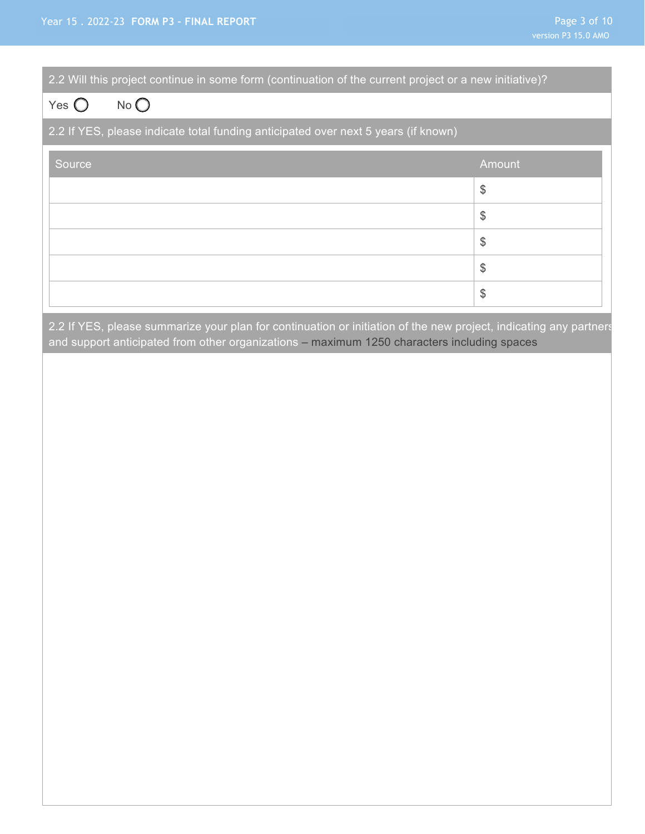| 2.2 Will this project continue in some form (continuation of the current project or a new initiative)? |               |  |
|--------------------------------------------------------------------------------------------------------|---------------|--|
| $No$ $O$<br>Yes $\bigcirc$                                                                             |               |  |
| 2.2 If YES, please indicate total funding anticipated over next 5 years (if known)                     |               |  |
| Source                                                                                                 | Amount        |  |
|                                                                                                        | $\$\$         |  |
|                                                                                                        | $\frac{1}{2}$ |  |
|                                                                                                        | $\frac{1}{2}$ |  |
|                                                                                                        | $\frac{1}{2}$ |  |
|                                                                                                        | \$            |  |

2.2 If YES, please summarize your plan for continuation or initiation of the new project, indicating any partners and support anticipated from other organizations – maximum 1250 characters including spaces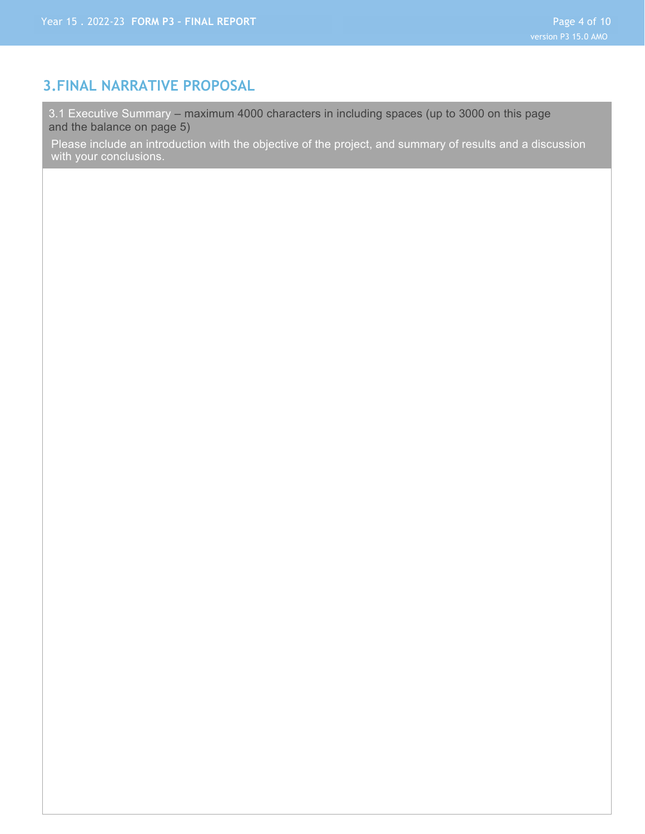## **3.FINAL NARRATIVE PROPOSAL**

3.1 Executive Summary – maximum 4000 characters in including spaces (up to 3000 on this page and the balance on page 5)

Please include an introduction with the objective of the project, and summary of results and a discussion with your conclusions.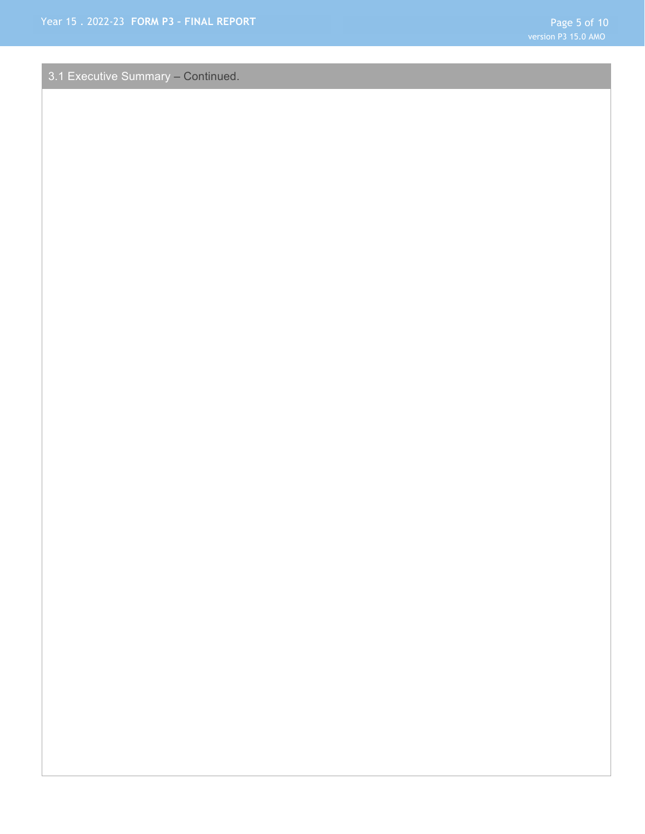3.1 Executive Summary – Continued.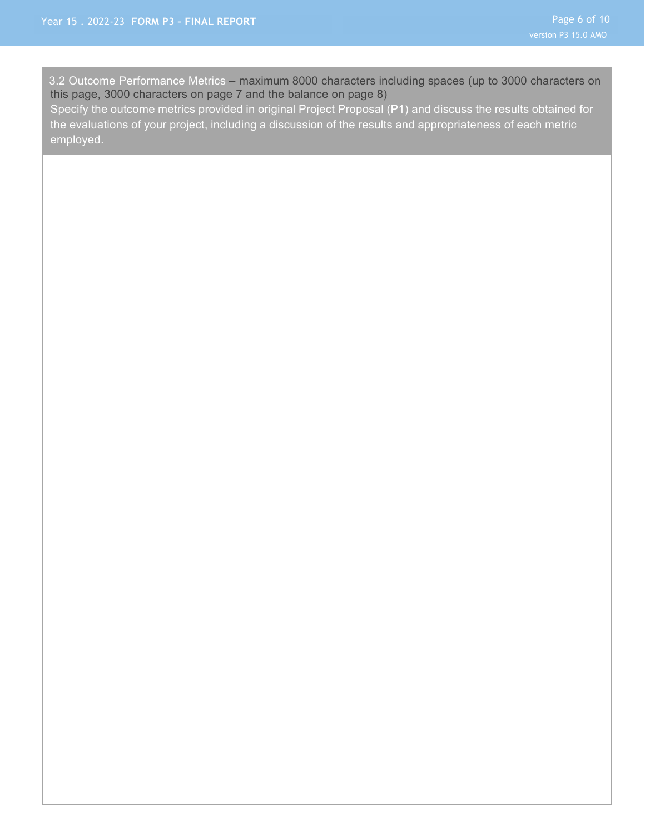3.2 Outcome Performance Metrics – maximum 8000 characters including spaces (up to 3000 characters on this page, 3000 characters on page 7 and the balance on page 8)

Specify the outcome metrics provided in original Project Proposal (P1) and discuss the results obtained for the evaluations of your project, including a discussion of the results and appropriateness of each metric employed.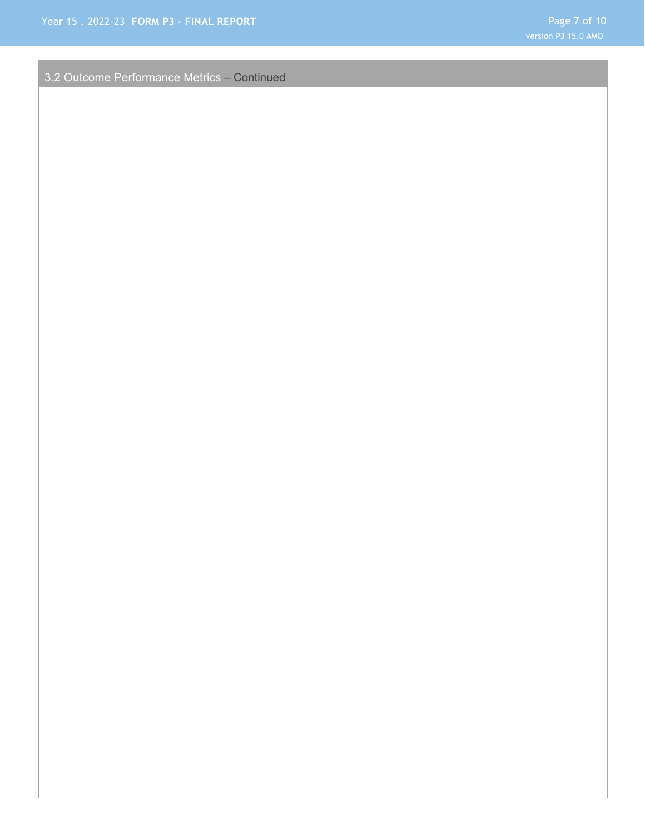3.2 Outcome Performance Metrics – Continued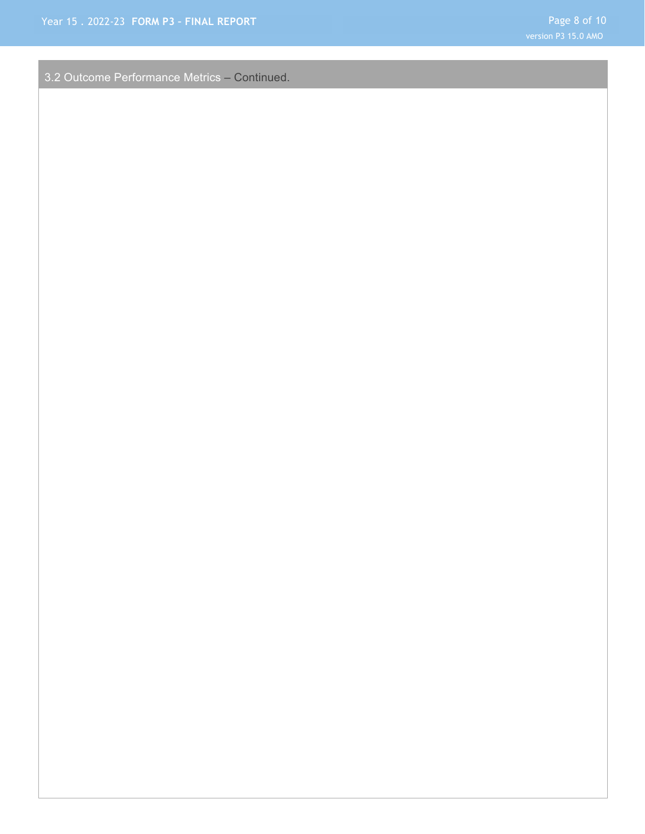3.2 Outcome Performance Metrics – Continued.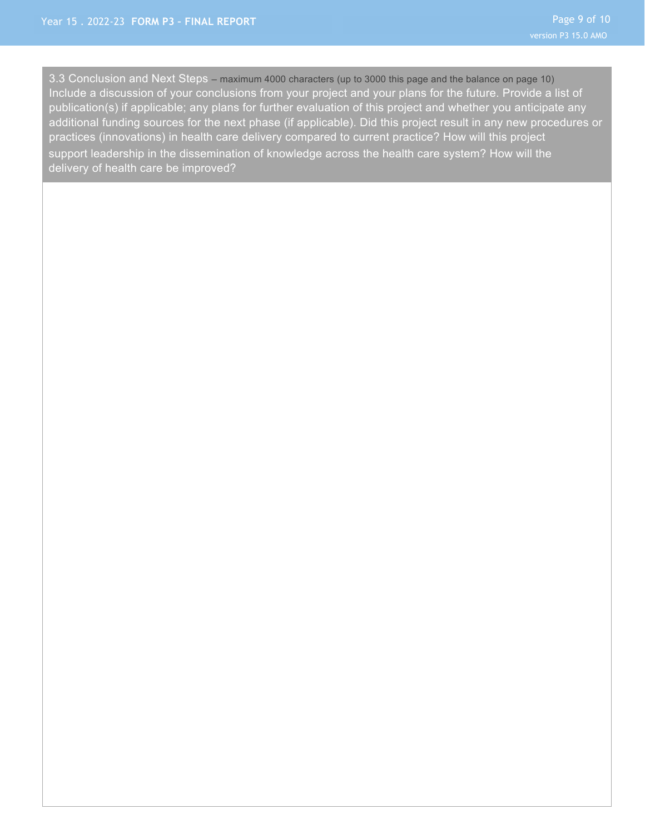3.3 Conclusion and Next Steps – maximum 4000 characters (up to 3000 this page and the balance on page 10) Include a discussion of your conclusions from your project and your plans for the future. Provide a list of publication(s) if applicable; any plans for further evaluation of this project and whether you anticipate any additional funding sources for the next phase (if applicable). Did this project result in any new procedures or practices (innovations) in health care delivery compared to current practice? How will this project support leadership in the dissemination of knowledge across the health care system? How will the delivery of health care be improved?